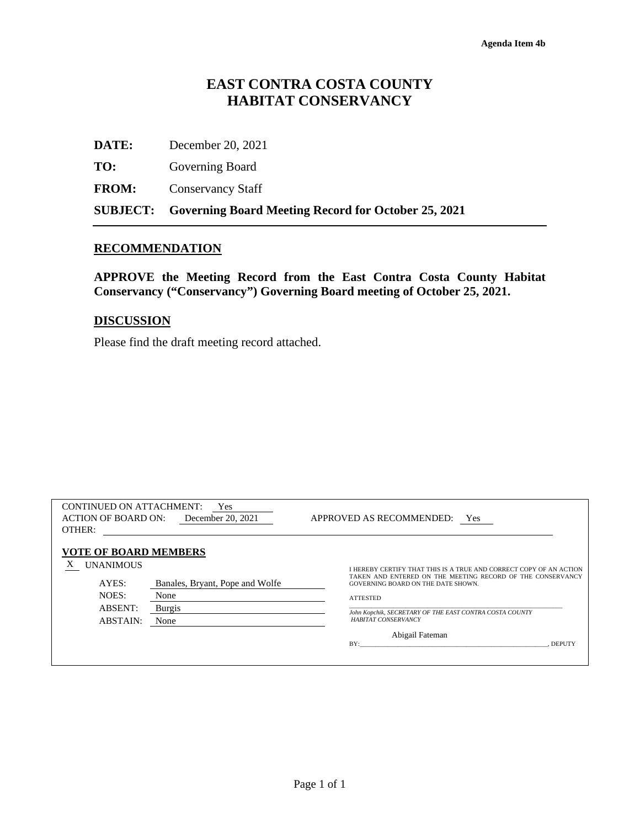# **EAST CONTRA COSTA COUNTY HABITAT CONSERVANCY**

|              | <b>SUBJECT:</b> Governing Board Meeting Record for October 25, 2021 |
|--------------|---------------------------------------------------------------------|
| <b>FROM:</b> | <b>Conservancy Staff</b>                                            |
| TO:          | Governing Board                                                     |
| DATE:        | December 20, 2021                                                   |

## **RECOMMENDATION**

**APPROVE the Meeting Record from the East Contra Costa County Habitat Conservancy ("Conservancy") Governing Board meeting of October 25, 2021.** 

### **DISCUSSION**

Please find the draft meeting record attached.

| <b>CONTINUED ON ATTACHMENT:</b><br><b>ACTION OF BOARD ON:</b><br>OTHER:                                      | Yes<br>December 20, 2021                                  | APPROVED AS RECOMMENDED:<br><b>Yes</b>                                                                                                                                                                                                                                                                                 |
|--------------------------------------------------------------------------------------------------------------|-----------------------------------------------------------|------------------------------------------------------------------------------------------------------------------------------------------------------------------------------------------------------------------------------------------------------------------------------------------------------------------------|
| <b>VOTE OF BOARD MEMBERS</b><br>Х<br><b>UNANIMOUS</b><br>AYES:<br>NOES:<br><b>ABSENT:</b><br><b>ABSTAIN:</b> | Banales, Bryant, Pope and Wolfe<br>None<br>Burgis<br>None | I HEREBY CERTIFY THAT THIS IS A TRUE AND CORRECT COPY OF AN ACTION<br>TAKEN AND ENTERED ON THE MEETING RECORD OF THE CONSERVANCY<br>GOVERNING BOARD ON THE DATE SHOWN.<br><b>ATTESTED</b><br>John Kopchik, SECRETARY OF THE EAST CONTRA COSTA COUNTY<br><b>HABITAT CONSERVANCY</b><br>Abigail Fateman<br>BY:<br>DEPUTY |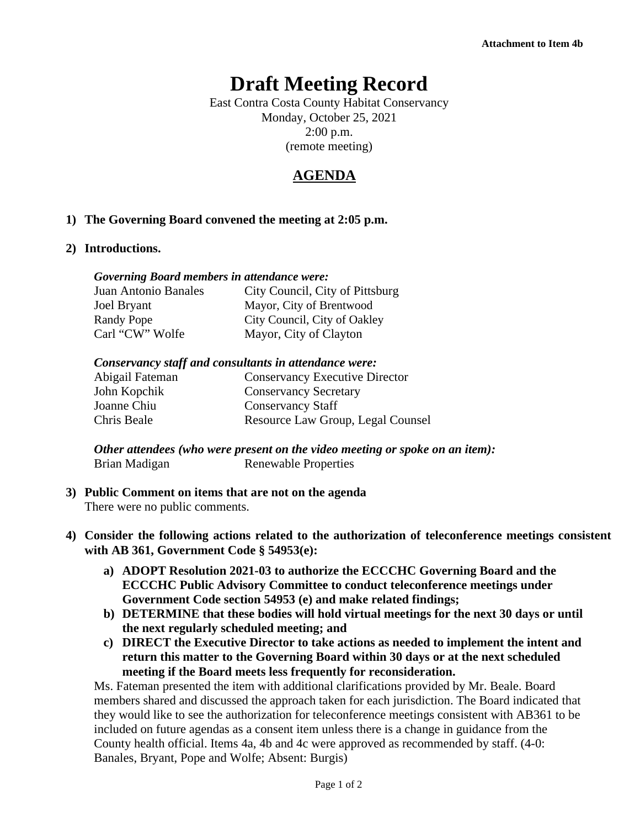# **Draft Meeting Record**

East Contra Costa County Habitat Conservancy Monday, October 25, 2021 2:00 p.m. (remote meeting)

# **AGENDA**

# **1) The Governing Board convened the meeting at 2:05 p.m.**

### **2) Introductions.**

### *Governing Board members in attendance were:*

| Juan Antonio Banales | City Council, City of Pittsburg |
|----------------------|---------------------------------|
| Joel Bryant          | Mayor, City of Brentwood        |
| Randy Pope           | City Council, City of Oakley    |
| Carl "CW" Wolfe      | Mayor, City of Clayton          |

#### *Conservancy staff and consultants in attendance were:*

| Abigail Fateman | <b>Conservancy Executive Director</b> |
|-----------------|---------------------------------------|
| John Kopchik    | <b>Conservancy Secretary</b>          |
| Joanne Chiu     | <b>Conservancy Staff</b>              |
| Chris Beale     | Resource Law Group, Legal Counsel     |
|                 |                                       |

*Other attendees (who were present on the video meeting or spoke on an item):* Brian Madigan Renewable Properties

## **3) Public Comment on items that are not on the agenda** There were no public comments.

- **4) Consider the following actions related to the authorization of teleconference meetings consistent with AB 361, Government Code § 54953(e):**
	- **a) ADOPT Resolution 2021-03 to authorize the ECCCHC Governing Board and the ECCCHC Public Advisory Committee to conduct teleconference meetings under Government Code section 54953 (e) and make related findings;**
	- **b) DETERMINE that these bodies will hold virtual meetings for the next 30 days or until the next regularly scheduled meeting; and**
	- **c) DIRECT the Executive Director to take actions as needed to implement the intent and return this matter to the Governing Board within 30 days or at the next scheduled meeting if the Board meets less frequently for reconsideration.**

Ms. Fateman presented the item with additional clarifications provided by Mr. Beale. Board members shared and discussed the approach taken for each jurisdiction. The Board indicated that they would like to see the authorization for teleconference meetings consistent with AB361 to be included on future agendas as a consent item unless there is a change in guidance from the County health official. Items 4a, 4b and 4c were approved as recommended by staff. (4-0: Banales, Bryant, Pope and Wolfe; Absent: Burgis)